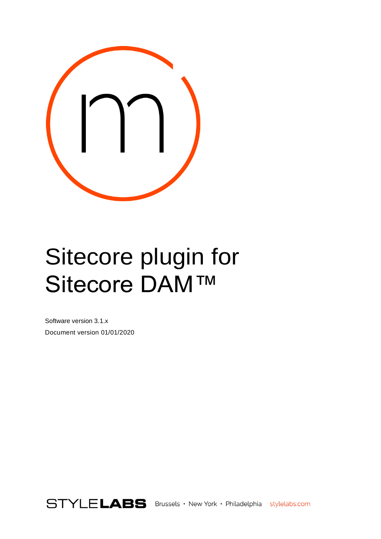

# <span id="page-0-0"></span>Sitecore plugin for Sitecore DAM™

Software version 3.1.x Document version 01/01/2020

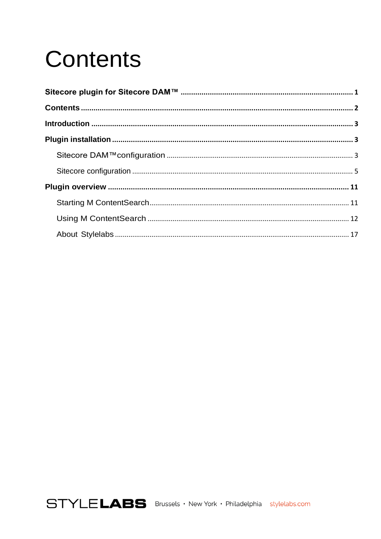# <span id="page-1-0"></span>**Contents**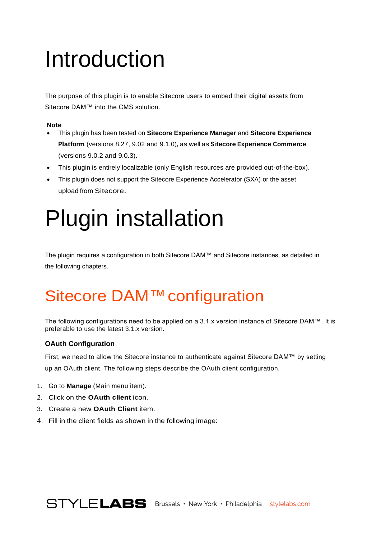# <span id="page-2-0"></span>Introduction

The purpose of this plugin is to enable Sitecore users to embed their digital assets from Sitecore DAM™ into the CMS solution.

### **Note**

- This plugin has been tested on **Sitecore Experience Manager** and **Sitecore Experience Platform** (versions 8.27, 9.02 and 9.1.0)**,** as well as **Sitecore Experience Commerce**  (versions 9.0.2 and 9.0.3).
- This plugin is entirely localizable (only English resources are provided out-of-the-box).
- This plugin does not support the Sitecore Experience Accelerator (SXA) or the asset upload from Sitecore.

# <span id="page-2-1"></span>Plugin installation

The plugin requires a configuration in both Sitecore DAM™ and Sitecore instances, as detailed in the following chapters.

## <span id="page-2-2"></span>Sitecore DAM™ configuration

The following configurations need to be applied on a 3.1.x version instance of Sitecore DAM™. It is preferable to use the latest 3.1.x version.

### **OAuth Configuration**

First, we need to allow the Sitecore instance to authenticate against Sitecore DAM™ by setting up an OAuth client. The following steps describe the OAuth client configuration.

- 1. Go to **Manage** (Main menu item).
- 2. Click on the **OAuth client** icon.
- 3. Create a new **OAuth Client** item.
- 4. Fill in the client fields as shown in the following image: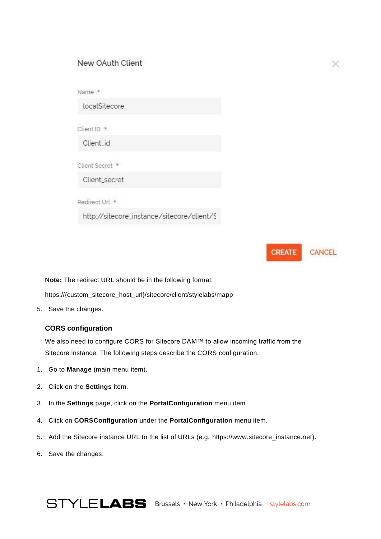### New OAuth Client

| Name *                                     |  |
|--------------------------------------------|--|
| localSitecore                              |  |
| Client ID *                                |  |
| Client_id                                  |  |
| Client Secret *                            |  |
| Client_secret                              |  |
| Redirect Url <sup>+</sup>                  |  |
| http://sitecore_instance/sitecore/client/S |  |

**CREATE** CANCEL

×

**Note:** The redirect URL should be in the following format:

https://{custom\_sitecore\_host\_url}/sitecore/client/stylelabs/mapp

5. Save the changes.

### **CORS configuration**

We also need to configure CORS for Sitecore DAM™ to allow incoming traffic from the Sitecore instance. The following steps describe the CORS configuration.

- 1. Go to **Manage** (main menu item).
- 2. Click on the **Settings** item.
- 3. In the **Settings** page, click on the **PortalConfiguration** menu item.
- 4. Click on **CORSConfiguration** under the **PortalConfiguration** menu item.
- 5. Add the Sitecore instance URL to the list of URLs (e.g. https://www.sitecore\_instance.net).
- 6. Save the changes.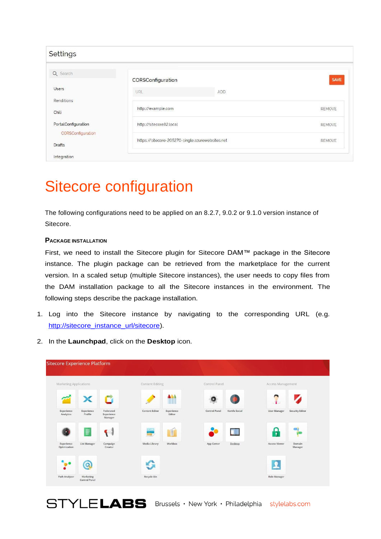| Settings                                 |                                                  |            |               |
|------------------------------------------|--------------------------------------------------|------------|---------------|
| Q Search                                 | CORSConfiguration                                |            | SAVE          |
| <b>Users</b>                             | URL                                              | <b>ADD</b> |               |
| Renditions<br>Chili                      | http://example.com                               |            | <b>REMOVE</b> |
| PortalConfiguration<br>CORSConfiguration | http://sitecore82.local                          |            | <b>REMOVE</b> |
| <b>Drafts</b>                            | https://sitecore-205270-single.azurewebsites.net |            | <b>REMOVE</b> |

## <span id="page-4-0"></span>Sitecore configuration

The following configurations need to be applied on an 8.2.7, 9.0.2 or 9.1.0 version instance of Sitecore.

### **PACKAGE INSTALLATION**

First, we need to install the Sitecore plugin for Sitecore DAM™ package in the Sitecore instance. The plugin package can be retrieved from the marketplace for the current version. In a scaled setup (multiple Sitecore instances), the user needs to copy files from the DAM installation package to all the Sitecore instances in the environment. The following steps describe the package installation.

- 1. Log into the Sitecore instance by navigating to the corresponding URL (e.g. [http://sitecore\\_instance\\_url/sitecore\)](http://sitecore_instance_url/sitecore).
- 2. In the **Launchpad**, click on the **Desktop** icon.



STYLELABS Brussels · New York · Philadelphia stylelabs.com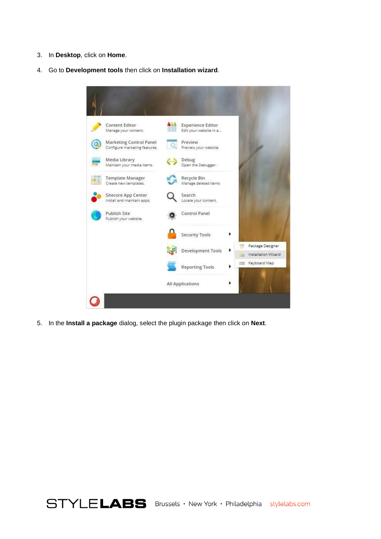- 3. In **Desktop**, click on **Home**.
- 4. Go to **Development tools** then click on **Installation wizard**.



5. In the **Install a package** dialog, select the plugin package then click on **Next**.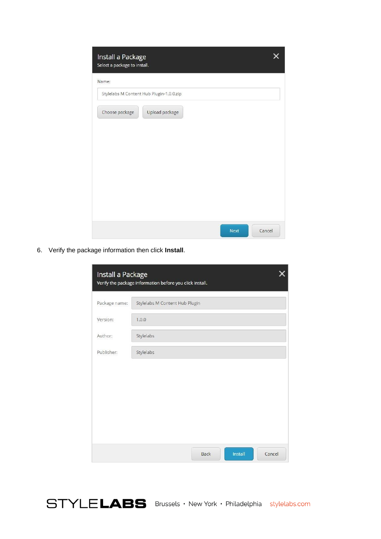| Install a Package<br>Select a package to install. |      |        |
|---------------------------------------------------|------|--------|
| Name:                                             |      |        |
| Stylelabs M Content Hub Plugin-1.0.0.zip          |      |        |
| Upload package<br>Choose package                  |      |        |
|                                                   | Next | Cancel |

6. Verify the package information then click **Install**.

| Install a Package | Verify the package information before you click install. |        |
|-------------------|----------------------------------------------------------|--------|
| Package name:     | Stylelabs M Content Hub Plugin                           |        |
| Version:          | 1.0.0                                                    |        |
| Author:           | Stylelabs                                                |        |
| Publisher:        | Stylelabs                                                |        |
|                   |                                                          |        |
|                   |                                                          |        |
|                   |                                                          |        |
|                   |                                                          |        |
|                   |                                                          |        |
|                   | Install<br><b>Back</b>                                   | Cancel |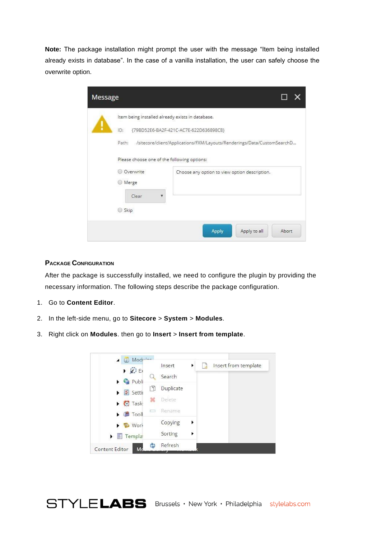**Note:** The package installation might prompt the user with the message "Item being installed already exists in database". In the case of a vanilla installation, the user can safely choose the overwrite option.

| Message |                                                                                                                 |                                                                                                                   |
|---------|-----------------------------------------------------------------------------------------------------------------|-------------------------------------------------------------------------------------------------------------------|
|         | Item being installed already exists in database.<br>ID:<br>Path:<br>Please choose one of the following options: | {79BD52E6-BA2F-421C-AC7E-622D636898C8}<br>/sitecore/client/Applications/FXM/Layouts/Renderings/Data/CustomSearchD |
|         | Overwrite<br>Merge<br>Clear<br>Skip                                                                             | Choose any option to view option description.                                                                     |
|         |                                                                                                                 | Apply<br>Apply to all<br>Abort                                                                                    |

### **PACKAGE CONFIGURATION**

After the package is successfully installed, we need to configure the plugin by providing the necessary information. The following steps describe the package configuration.

- 1. Go to **Content Editor**.
- 2. In the left-side menu, go to **Sitecore** > **System** > **Modules**.
- 3. Right click on **Modules**. then go to **Insert** > **Insert from template**.



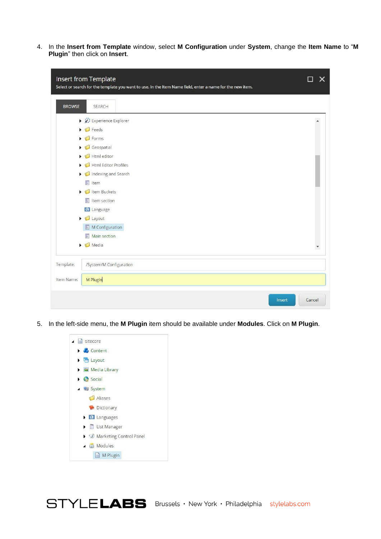4. In the **Insert from Template** window, select **M Configuration** under **System**, change the **Item Name** to "**M Plugin**" then click on **Insert**.

|               | Insert from Template<br>Select or search for the template you want to use. In the Item Name field, enter a name for the new item. | x      |
|---------------|-----------------------------------------------------------------------------------------------------------------------------------|--------|
| <b>BROWSE</b> | SEARCH                                                                                                                            |        |
|               | $\triangleright$ $\overleftrightarrow{\mathscr{L}}$ Experience Explorer                                                           |        |
|               | $\triangleright$ $\blacksquare$ Feeds                                                                                             |        |
|               | $\triangleright$ $\blacksquare$ Forms                                                                                             |        |
|               | $\triangleright$ $\blacksquare$ Geospatial                                                                                        |        |
|               | $\triangleright$ $\blacksquare$ Html editor                                                                                       |        |
|               | Html Editor Profiles                                                                                                              |        |
|               | Indexing and Search                                                                                                               |        |
|               | $\frac{1}{2}$ Item                                                                                                                |        |
|               | $\triangleright$ $\bigcirc$ Item Buckets                                                                                          |        |
|               | $\blacksquare$ Item section                                                                                                       |        |
|               | <b>G</b> Language                                                                                                                 |        |
|               | $\triangleright$ $\blacksquare$ Layout                                                                                            |        |
|               | M Configuration                                                                                                                   |        |
|               | Main section<br>国                                                                                                                 |        |
|               | $\triangleright$ $\blacksquare$ Media                                                                                             | ۳      |
| Template:     | /System/M Configuration                                                                                                           |        |
| Item Name:    | M Plugin                                                                                                                          |        |
|               | Insert                                                                                                                            | Cancel |

5. In the left-side menu, the **M Plugin** item should be available under **Modules**. Click on **M Plugin**.

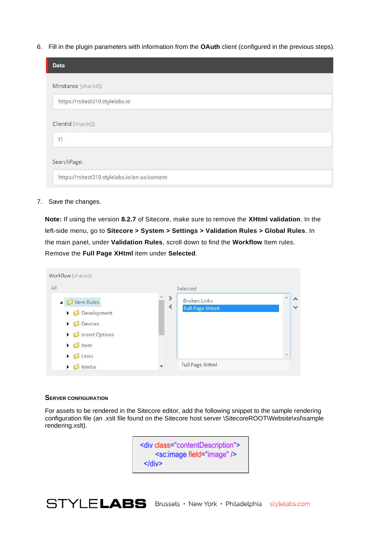6. Fill in the plugin parameters with information from the **OAuth** client (configured in the previous steps).

| Data                                          |
|-----------------------------------------------|
| Minstance [shared]:                           |
| https://rsitest310.stylelabs.io               |
| ClientId [shared]:                            |
| t1                                            |
| SearchPage:                                   |
| https://rsitest310.stylelabs.io/en-us/content |

7. Save the changes.

**Note:** If using the version **8.2.7** of Sitecore, make sure to remove the **XHtml validation**. In the left-side menu, go to **Sitecore > System > Settings > Validation Rules > Global Rules**. In the main panel, under **Validation Rules**, scroll down to find the **Workflow** Item rules. Remove the **Full Page XHtml** item under **Selected**.

|                                         | Selected               |   |
|-----------------------------------------|------------------------|---|
| Item Rules<br>$\overline{\phantom{0}}$  | <b>Broken Links</b>    |   |
| $\triangleright$ $\bigcirc$ Development | <b>Full Page XHtml</b> |   |
| Devices<br>$\blacktriangleright$        |                        |   |
| Insert Options                          |                        |   |
| Item<br>▶                               |                        |   |
| Links<br>▶                              |                        | v |
| Media<br>٠                              | Full Page XHtml        |   |

#### **SERVER CONFIGURATION**

For assets to be rendered in the Sitecore editor, add the following snippet to the sample rendering configuration file (an .xslt file found on the Sitecore host server \SitecoreROOT\Website\xsl\sample rendering.xslt).

> <div class="contentDescription"> <sc:image field="image" />  $\le$ /div>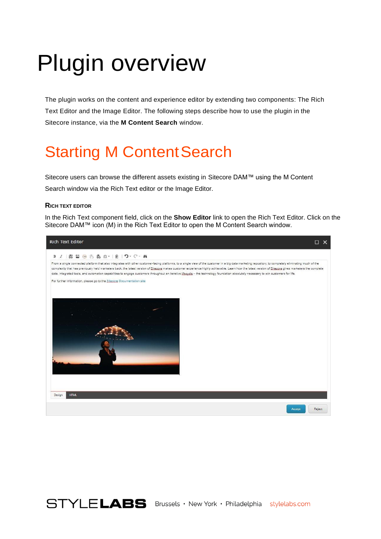# <span id="page-10-0"></span>Plugin overview

The plugin works on the content and experience editor by extending two components: The Rich Text Editor and the Image Editor. The following steps describe how to use the plugin in the Sitecore instance, via the **M Content Search** window.

## <span id="page-10-1"></span>**Starting M Content Search**

Sitecore users can browse the different assets existing in Sitecore DAM™ using the M Content Search window via the Rich Text editor or the Image Editor.

#### **RICH TEXT EDITOR**

In the Rich Text component field, click on the **Show Editor** link to open the Rich Text Editor. Click on the Sitecore DAM™ icon (M) in the Rich Text Editor to open the M Content Search window.



STYLELABS Brussels · New York · Philadelphia stylelabs.com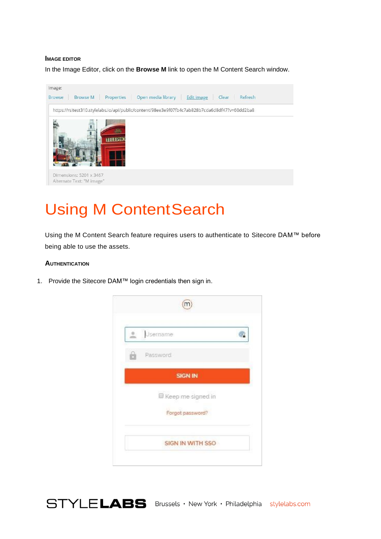#### **IMAGE EDITOR**

In the Image Editor, click on the **Browse M** link to open the M Content Search window.



## <span id="page-11-0"></span>Using M ContentSearch

Using the M Content Search feature requires users to authenticate to Sitecore DAM™ before being able to use the assets.

#### **AUTHENTICATION**

1. Provide the Sitecore DAM™ login credentials then sign in.



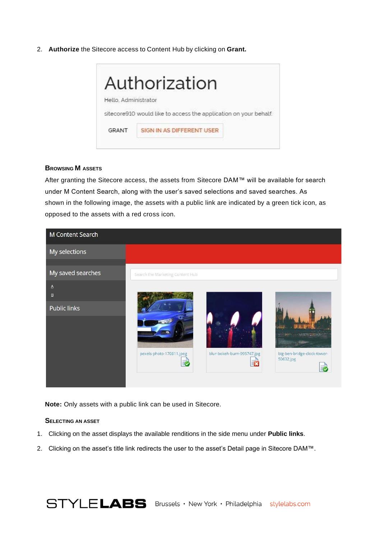2. **Authorize** the Sitecore access to Content Hub by clicking on **Grant.**



### **BROWSING M ASSETS**

After granting the Sitecore access, the assets from Sitecore DAM™ will be available for search under M Content Search, along with the user's saved selections and saved searches. As shown in the following image, the assets with a public link are indicated by a green tick icon, as opposed to the assets with a red cross icon.



**Note:** Only assets with a public link can be used in Sitecore.

### **SELECTING AN ASSET**

- 1. Clicking on the asset displays the available renditions in the side menu under **Public links**.
- 2. Clicking on the asset's title link redirects the user to the asset's Detail page in Sitecore DAM™.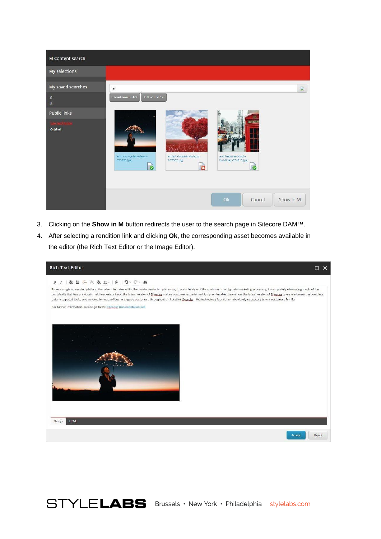

- 3. Clicking on the **Show in M** button redirects the user to the search page in Sitecore DAM™.
- 4. After selecting a rendition link and clicking **Ok**, the corresponding asset becomes available in the editor (the Rich Text Editor or the Image Editor).

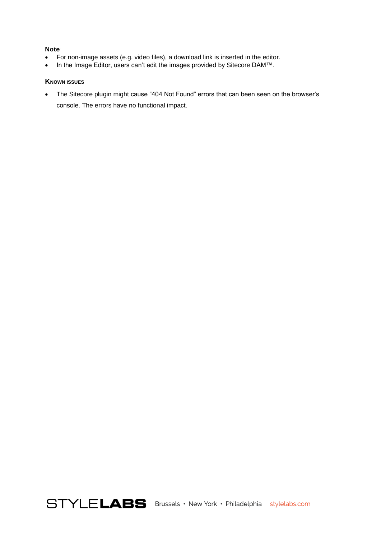#### **Note**:

- For non-image assets (e.g. video files), a download link is inserted in the editor.
- In the Image Editor, users can't edit the images provided by Sitecore DAM™.

### **KNOWN ISSUES**

• The Sitecore plugin might cause "404 Not Found" errors that can been seen on the browser's console. The errors have no functional impact.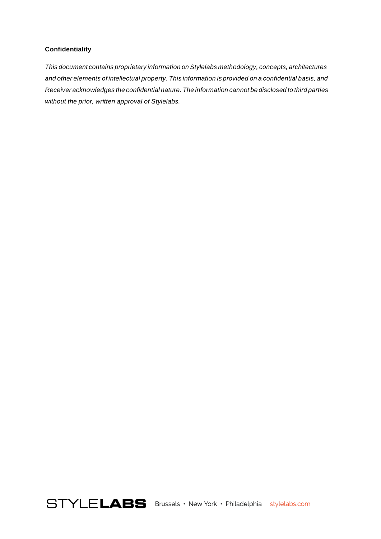### **Confidentiality**

*Thisdocument containsproprietary informationon Stylelabs methodology, concepts,architectures andotherelements ofintellectual property. This informationisprovided onaconfidential basis,and Receiveracknowledges theconfidentialnature. Theinformationcannotbedisclosedtothirdparties without the prior, written approval of Stylelabs.*